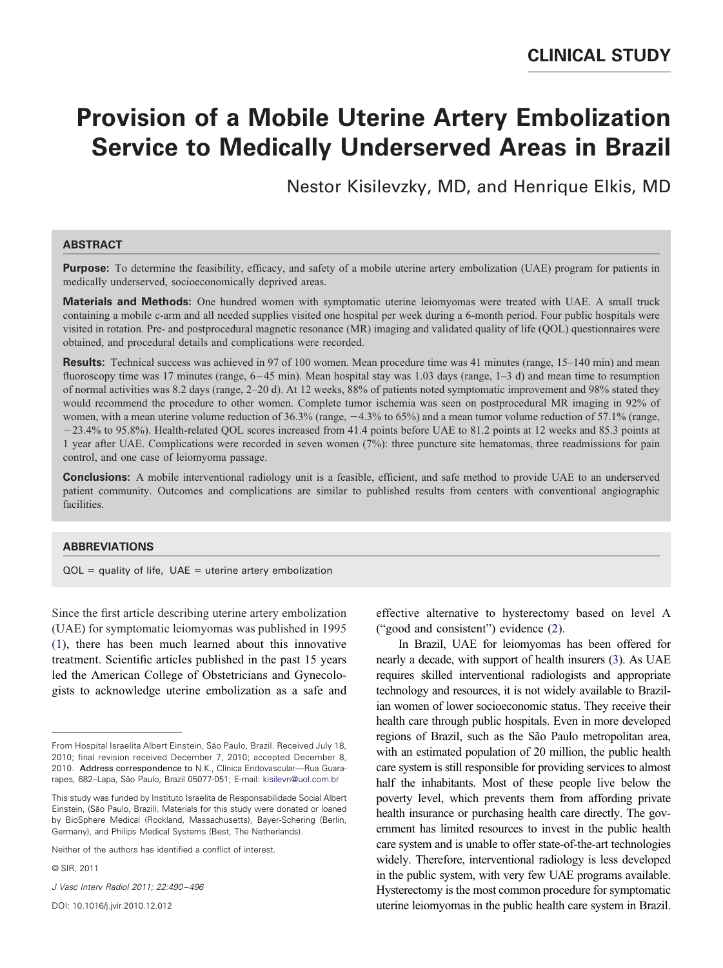# **Provision of a Mobile Uterine Artery Embolization Service to Medically Underserved Areas in Brazil**

Nestor Kisilevzky, MD, and Henrique Elkis, MD

## **ABSTRACT**

**Purpose:** To determine the feasibility, efficacy, and safety of a mobile uterine artery embolization (UAE) program for patients in medically underserved, socioeconomically deprived areas.

**Materials and Methods:** One hundred women with symptomatic uterine leiomyomas were treated with UAE. A small truck containing a mobile c-arm and all needed supplies visited one hospital per week during a 6-month period. Four public hospitals were visited in rotation. Pre- and postprocedural magnetic resonance (MR) imaging and validated quality of life (QOL) questionnaires were obtained, and procedural details and complications were recorded.

**Results:** Technical success was achieved in 97 of 100 women. Mean procedure time was 41 minutes (range, 15–140 min) and mean fluoroscopy time was 17 minutes (range,  $6-45$  min). Mean hospital stay was 1.03 days (range,  $1-3$  d) and mean time to resumption of normal activities was 8.2 days (range, 2–20 d). At 12 weeks, 88% of patients noted symptomatic improvement and 98% stated they would recommend the procedure to other women. Complete tumor ischemia was seen on postprocedural MR imaging in 92% of women, with a mean uterine volume reduction of 36.3% (range,  $-4.3\%$  to 65%) and a mean tumor volume reduction of 57.1% (range, 23.4% to 95.8%). Health-related QOL scores increased from 41.4 points before UAE to 81.2 points at 12 weeks and 85.3 points at 1 year after UAE. Complications were recorded in seven women (7%): three puncture site hematomas, three readmissions for pain control, and one case of leiomyoma passage.

**Conclusions:** A mobile interventional radiology unit is a feasible, efficient, and safe method to provide UAE to an underserved patient community. Outcomes and complications are similar to published results from centers with conventional angiographic facilities.

## **ABBREVIATIONS**

 $QOL =$  quality of life,  $UAE =$  uterine artery embolization

Since the first article describing uterine artery embolization (UAE) for symptomatic leiomyomas was published in 1995 [\(1\)](#page-6-0), there has been much learned about this innovative treatment. Scientific articles published in the past 15 years led the American College of Obstetricians and Gynecologists to acknowledge uterine embolization as a safe and

Neither of the authors has identified a conflict of interest.

© SIR, 2011

*J Vasc Interv Radiol 2011; 22:490 – 496*

DOI: 10.1016/j.jvir.2010.12.012

effective alternative to hysterectomy based on level A ("good and consistent") evidence [\(2\)](#page-6-1).

In Brazil, UAE for leiomyomas has been offered for nearly a decade, with support of health insurers [\(3\)](#page-6-2). As UAE requires skilled interventional radiologists and appropriate technology and resources, it is not widely available to Brazilian women of lower socioeconomic status. They receive their health care through public hospitals. Even in more developed regions of Brazil, such as the São Paulo metropolitan area, with an estimated population of 20 million, the public health care system is still responsible for providing services to almost half the inhabitants. Most of these people live below the poverty level, which prevents them from affording private health insurance or purchasing health care directly. The government has limited resources to invest in the public health care system and is unable to offer state-of-the-art technologies widely. Therefore, interventional radiology is less developed in the public system, with very few UAE programs available. Hysterectomy is the most common procedure for symptomatic uterine leiomyomas in the public health care system in Brazil.

From Hospital Israelita Albert Einstein, São Paulo, Brazil. Received July 18, 2010; final revision received December 7, 2010; accepted December 8, 2010. Address correspondence to N.K., Clínica Endovascular—Rua Guararapes, 682–Lapa, São Paulo, Brazil 05077-051; E-mail: [kisilevn@uol.com.br](mailto:kisilevn@uol.com.br)

This study was funded by Instituto Israelita de Responsabilidade Social Albert Einstein, (São Paulo, Brazil). Materials for this study were donated or loaned by BioSphere Medical (Rockland, Massachusetts), Bayer-Schering (Berlin, Germany), and Philips Medical Systems (Best, The Netherlands).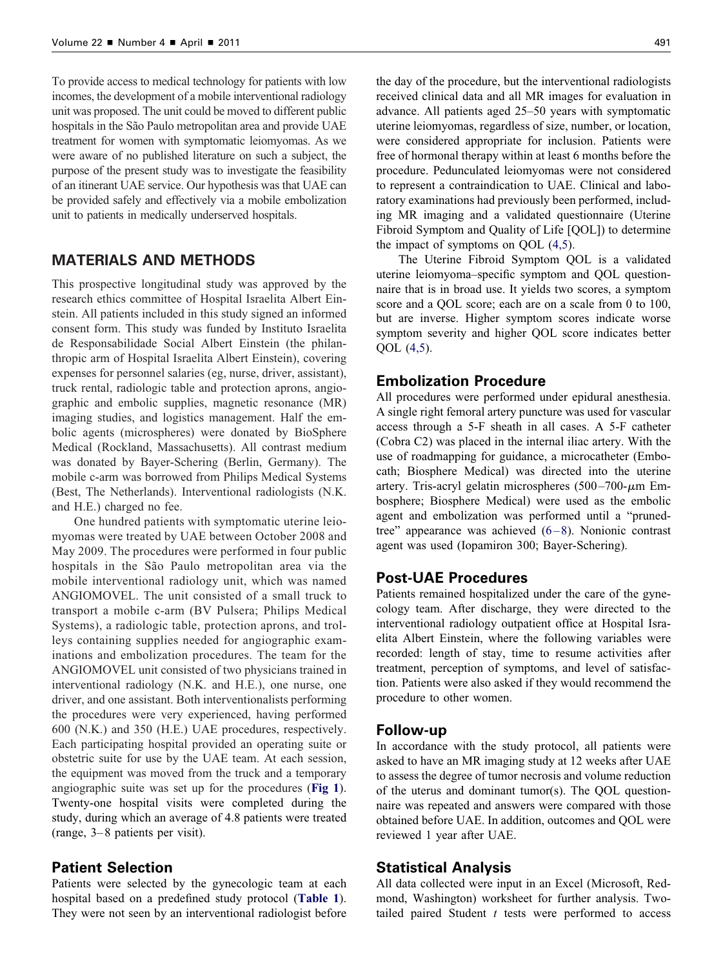To provide access to medical technology for patients with low incomes, the development of a mobile interventional radiology unit was proposed. The unit could be moved to different public hospitals in the São Paulo metropolitan area and provide UAE treatment for women with symptomatic leiomyomas. As we were aware of no published literature on such a subject, the purpose of the present study was to investigate the feasibility of an itinerant UAE service. Our hypothesis was that UAE can be provided safely and effectively via a mobile embolization unit to patients in medically underserved hospitals.

# **MATERIALS AND METHODS**

This prospective longitudinal study was approved by the research ethics committee of Hospital Israelita Albert Einstein. All patients included in this study signed an informed consent form. This study was funded by Instituto Israelita de Responsabilidade Social Albert Einstein (the philanthropic arm of Hospital Israelita Albert Einstein), covering expenses for personnel salaries (eg, nurse, driver, assistant), truck rental, radiologic table and protection aprons, angiographic and embolic supplies, magnetic resonance (MR) imaging studies, and logistics management. Half the embolic agents (microspheres) were donated by BioSphere Medical (Rockland, Massachusetts). All contrast medium was donated by Bayer-Schering (Berlin, Germany). The mobile c-arm was borrowed from Philips Medical Systems (Best, The Netherlands). Interventional radiologists (N.K. and H.E.) charged no fee.

One hundred patients with symptomatic uterine leiomyomas were treated by UAE between October 2008 and May 2009. The procedures were performed in four public hospitals in the São Paulo metropolitan area via the mobile interventional radiology unit, which was named ANGIOMOVEL. The unit consisted of a small truck to transport a mobile c-arm (BV Pulsera; Philips Medical Systems), a radiologic table, protection aprons, and trolleys containing supplies needed for angiographic examinations and embolization procedures. The team for the ANGIOMOVEL unit consisted of two physicians trained in interventional radiology (N.K. and H.E.), one nurse, one driver, and one assistant. Both interventionalists performing the procedures were very experienced, having performed 600 (N.K.) and 350 (H.E.) UAE procedures, respectively. Each participating hospital provided an operating suite or obstetric suite for use by the UAE team. At each session, the equipment was moved from the truck and a temporary angiographic suite was set up for the procedures (**[Fig 1](#page-2-0)**). Twenty-one hospital visits were completed during the study, during which an average of 4.8 patients were treated (range, 3– 8 patients per visit).

## **Patient Selection**

Patients were selected by the gynecologic team at each hospital based on a predefined study protocol (**[Table 1](#page-3-0)**). They were not seen by an interventional radiologist before

the day of the procedure, but the interventional radiologists received clinical data and all MR images for evaluation in advance. All patients aged 25–50 years with symptomatic uterine leiomyomas, regardless of size, number, or location, were considered appropriate for inclusion. Patients were free of hormonal therapy within at least 6 months before the procedure. Pedunculated leiomyomas were not considered to represent a contraindication to UAE. Clinical and laboratory examinations had previously been performed, including MR imaging and a validated questionnaire (Uterine Fibroid Symptom and Quality of Life [QOL]) to determine the impact of symptoms on QOL [\(4,5\)](#page-6-3).

The Uterine Fibroid Symptom QOL is a validated uterine leiomyoma–specific symptom and QOL questionnaire that is in broad use. It yields two scores, a symptom score and a QOL score; each are on a scale from 0 to 100, but are inverse. Higher symptom scores indicate worse symptom severity and higher QOL score indicates better QOL [\(4,5\)](#page-6-3).

## **Embolization Procedure**

All procedures were performed under epidural anesthesia. A single right femoral artery puncture was used for vascular access through a 5-F sheath in all cases. A 5-F catheter (Cobra C2) was placed in the internal iliac artery. With the use of roadmapping for guidance, a microcatheter (Embocath; Biosphere Medical) was directed into the uterine artery. Tris-acryl gelatin microspheres  $(500-700-\mu m)$  Embosphere; Biosphere Medical) were used as the embolic agent and embolization was performed until a "prunedtree" appearance was achieved  $(6-8)$ . Nonionic contrast agent was used (Iopamiron 300; Bayer-Schering).

## **Post-UAE Procedures**

Patients remained hospitalized under the care of the gynecology team. After discharge, they were directed to the interventional radiology outpatient office at Hospital Israelita Albert Einstein, where the following variables were recorded: length of stay, time to resume activities after treatment, perception of symptoms, and level of satisfaction. Patients were also asked if they would recommend the procedure to other women.

## **Follow-up**

In accordance with the study protocol, all patients were asked to have an MR imaging study at 12 weeks after UAE to assess the degree of tumor necrosis and volume reduction of the uterus and dominant tumor(s). The QOL questionnaire was repeated and answers were compared with those obtained before UAE. In addition, outcomes and QOL were reviewed 1 year after UAE.

## **Statistical Analysis**

All data collected were input in an Excel (Microsoft, Redmond, Washington) worksheet for further analysis. Twotailed paired Student *t* tests were performed to access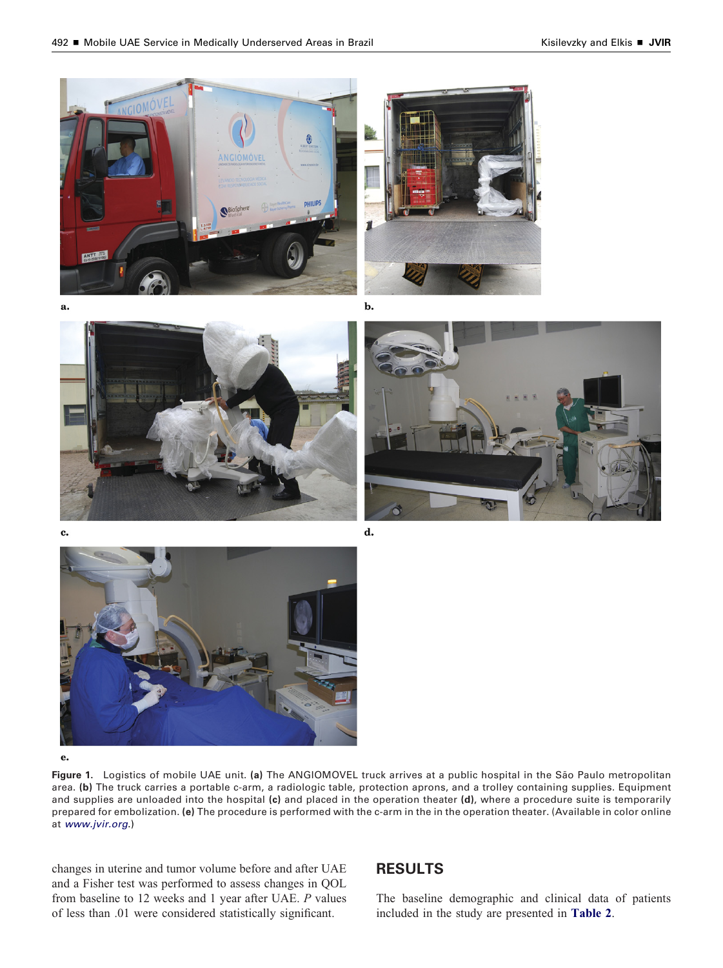



a.



b.



c.



е.

<span id="page-2-0"></span>**Figure 1.** Logistics of mobile UAE unit. **(a)** The ANGIOMOVEL truck arrives at a public hospital in the São Paulo metropolitan area. **(b)** The truck carries a portable c-arm, a radiologic table, protection aprons, and a trolley containing supplies. Equipment and supplies are unloaded into the hospital **(c)** and placed in the operation theater **(d)**, where a procedure suite is temporarily prepared for embolization. **(e)** The procedure is performed with the c-arm in the in the operation theater. (Available in color online at *[www.jvir.org](http://www.jvir.org)*.)

changes in uterine and tumor volume before and after UAE and a Fisher test was performed to assess changes in QOL from baseline to 12 weeks and 1 year after UAE. *P* values of less than .01 were considered statistically significant.

# **RESULTS**

The baseline demographic and clinical data of patients included in the study are presented in **[Table 2](#page-4-0)**.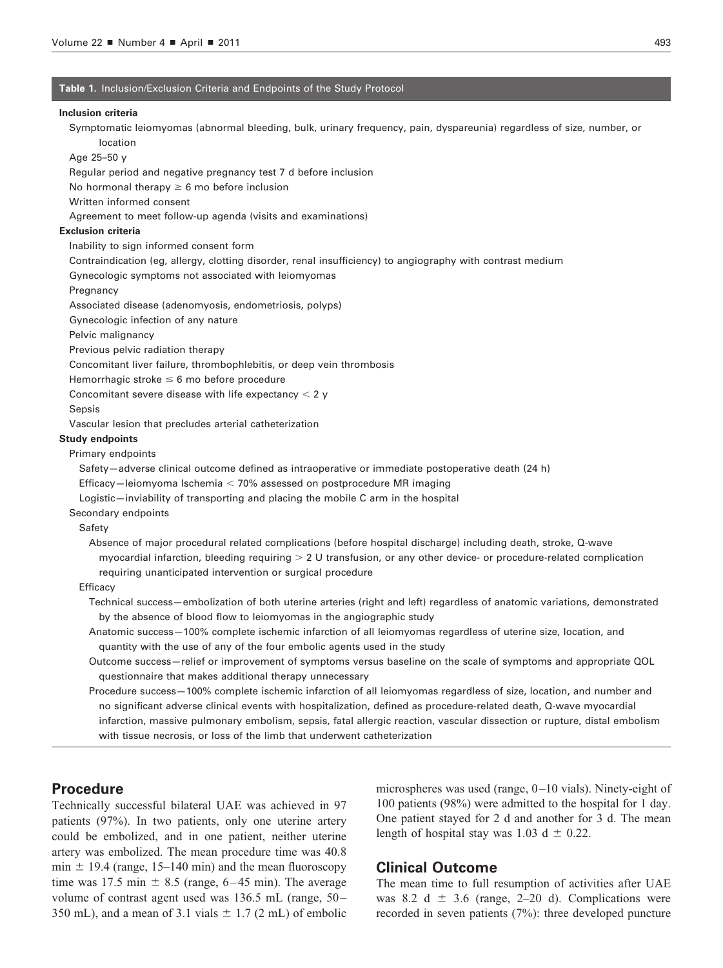#### <span id="page-3-0"></span>**Table 1.** Inclusion/Exclusion Criteria and Endpoints of the Study Protocol

#### **Inclusion criteria**

Symptomatic leiomyomas (abnormal bleeding, bulk, urinary frequency, pain, dyspareunia) regardless of size, number, or location

Age 25–50 y

Regular period and negative pregnancy test 7 d before inclusion

No hormonal therapy  $\geq 6$  mo before inclusion

Written informed consent

Agreement to meet follow-up agenda (visits and examinations)

#### **Exclusion criteria**

Inability to sign informed consent form

Contraindication (eg, allergy, clotting disorder, renal insufficiency) to angiography with contrast medium

Gynecologic symptoms not associated with leiomyomas

Pregnancy

Associated disease (adenomyosis, endometriosis, polyps)

Gynecologic infection of any nature

Pelvic malignancy

Previous pelvic radiation therapy

Concomitant liver failure, thrombophlebitis, or deep vein thrombosis

Hemorrhagic stroke  $\leq 6$  mo before procedure

Concomitant severe disease with life expectancy  $\leq 2$  y

#### Sepsis

Vascular lesion that precludes arterial catheterization

## **Study endpoints**

#### Primary endpoints

Safety—adverse clinical outcome defined as intraoperative or immediate postoperative death (24 h)

Efficacy-leiomyoma Ischemia  $<$  70% assessed on postprocedure MR imaging

- Logistic—inviability of transporting and placing the mobile C arm in the hospital
- Secondary endpoints

Safety

Absence of major procedural related complications (before hospital discharge) including death, stroke, Q-wave myocardial infarction, bleeding requiring  $> 2$  U transfusion, or any other device- or procedure-related complication requiring unanticipated intervention or surgical procedure

#### **Efficacy**

Technical success—embolization of both uterine arteries (right and left) regardless of anatomic variations, demonstrated by the absence of blood flow to leiomyomas in the angiographic study

- Anatomic success—100% complete ischemic infarction of all leiomyomas regardless of uterine size, location, and quantity with the use of any of the four embolic agents used in the study
- Outcome success—relief or improvement of symptoms versus baseline on the scale of symptoms and appropriate QOL questionnaire that makes additional therapy unnecessary

Procedure success—100% complete ischemic infarction of all leiomyomas regardless of size, location, and number and no significant adverse clinical events with hospitalization, defined as procedure-related death, Q-wave myocardial infarction, massive pulmonary embolism, sepsis, fatal allergic reaction, vascular dissection or rupture, distal embolism with tissue necrosis, or loss of the limb that underwent catheterization

# **Procedure**

Technically successful bilateral UAE was achieved in 97 patients (97%). In two patients, only one uterine artery could be embolized, and in one patient, neither uterine artery was embolized. The mean procedure time was 40.8 min  $\pm$  19.4 (range, 15–140 min) and the mean fluoroscopy time was 17.5 min  $\pm$  8.5 (range, 6–45 min). The average volume of contrast agent used was 136.5 mL (range, 50 – 350 mL), and a mean of 3.1 vials  $\pm$  1.7 (2 mL) of embolic

microspheres was used (range,  $0-10$  vials). Ninety-eight of 100 patients (98%) were admitted to the hospital for 1 day. One patient stayed for 2 d and another for 3 d. The mean length of hospital stay was 1.03 d  $\pm$  0.22.

## **Clinical Outcome**

The mean time to full resumption of activities after UAE was 8.2 d  $\pm$  3.6 (range, 2–20 d). Complications were recorded in seven patients (7%): three developed puncture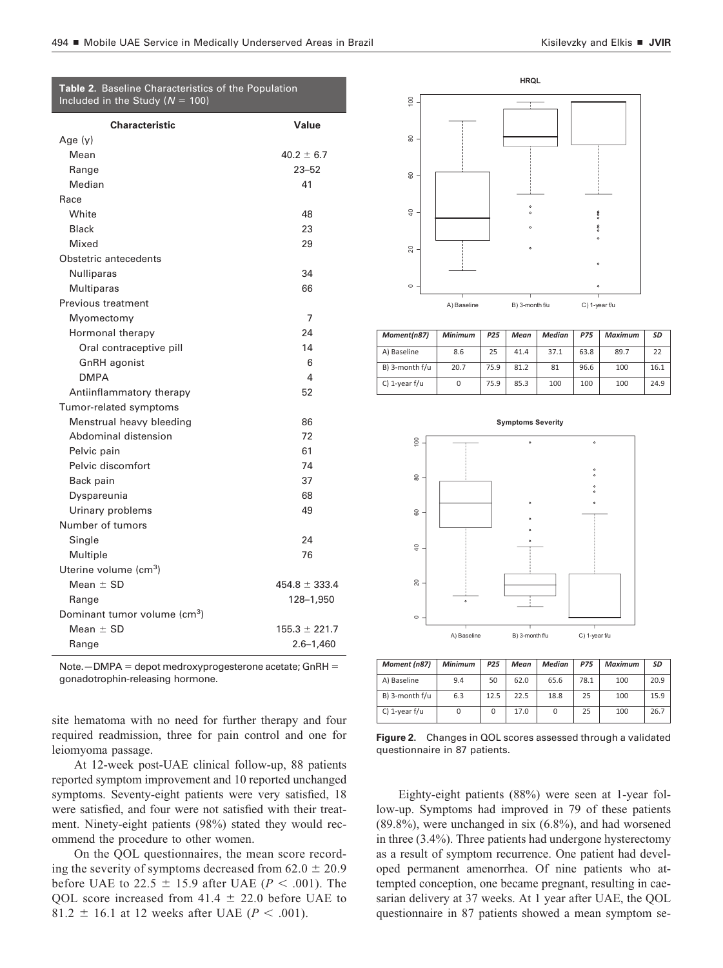<span id="page-4-0"></span>**Table 2.** Baseline Characteristics of the Population Included in the Study ( $N = 100$ )

| <b>Characteristic</b>                    | Value             |
|------------------------------------------|-------------------|
| Age $(y)$                                |                   |
| Mean                                     | $40.2 \pm 6.7$    |
| Range                                    | $23 - 52$         |
| Median                                   | 41                |
| Race                                     |                   |
| White                                    | 48                |
| <b>Black</b>                             | 23                |
| Mixed                                    | 29                |
| Obstetric antecedents                    |                   |
| Nulliparas                               | 34                |
| Multiparas                               | 66                |
| Previous treatment                       |                   |
| Myomectomy                               | 7                 |
| Hormonal therapy                         | 24                |
| Oral contraceptive pill                  | 14                |
| GnRH agonist                             | 6                 |
| <b>DMPA</b>                              | 4                 |
| Antiinflammatory therapy                 | 52                |
| Tumor-related symptoms                   |                   |
| Menstrual heavy bleeding                 | 86                |
| Abdominal distension                     | 72                |
| Pelvic pain                              | 61                |
| Pelvic discomfort                        | 74                |
| Back pain                                | 37                |
| Dyspareunia                              | 68                |
| Urinary problems                         | 49                |
| Number of tumors                         |                   |
| Single                                   | 24                |
| Multiple                                 | 76                |
| Uterine volume (cm <sup>3</sup> )        |                   |
| Mean $\pm$ SD                            | $454.8 \pm 333.4$ |
| Range                                    | 128-1,950         |
| Dominant tumor volume (cm <sup>3</sup> ) |                   |
| Mean $\pm$ SD                            | $155.3 \pm 221.7$ |
| Range                                    | $2.6 - 1,460$     |

Note.—DMPA = depot medroxyprogesterone acetate; GnRH = gonadotrophin-releasing hormone.

site hematoma with no need for further therapy and four required readmission, three for pain control and one for leiomyoma passage.

At 12-week post-UAE clinical follow-up, 88 patients reported symptom improvement and 10 reported unchanged symptoms. Seventy-eight patients were very satisfied, 18 were satisfied, and four were not satisfied with their treatment. Ninety-eight patients (98%) stated they would recommend the procedure to other women.

On the QOL questionnaires, the mean score recording the severity of symptoms decreased from  $62.0 \pm 20.9$ before UAE to 22.5  $\pm$  15.9 after UAE ( $P < .001$ ). The QOL score increased from  $41.4 \pm 22.0$  before UAE to 81.2  $\pm$  16.1 at 12 weeks after UAE (*P* < .001).



| Moment(n87)        | <b>Minimum</b> | P <sub>25</sub> | Mean | <b>Median</b> | <b>P75</b> | <b>Maximum</b> | SD   |
|--------------------|----------------|-----------------|------|---------------|------------|----------------|------|
| A) Baseline        | 8.6            | 25              | 41.4 | 37.1          | 63.8       | 89.7           | 22   |
| $B)$ 3-month $f/u$ | 20.7           | 75.9            | 81.2 | 81            | 96.6       | 100            | 16.1 |
| C) 1-year $f/u$    |                | 75.9            | 85.3 | 100           | 100        | 100            | 24.9 |



| Moment (n87)    | <b>Minimum</b> | P25  | Mean | <b>Median</b> | P75  | <b>Maximum</b> | SD   |
|-----------------|----------------|------|------|---------------|------|----------------|------|
| A) Baseline     | 9.4            | 50   | 62.0 | 65.6          | 78.1 | 100            | 20.9 |
| B) 3-month f/u  | 6.3            | 12.5 | 22.5 | 18.8          | 25   | 100            | 15.9 |
| C) 1-year $f/u$ |                | 0    | 17.0 | 0             | 25   | 100            | 26.7 |

<span id="page-4-1"></span>**Figure 2.** Changes in QOL scores assessed through a validated questionnaire in 87 patients.

Eighty-eight patients (88%) were seen at 1-year follow-up. Symptoms had improved in 79 of these patients (89.8%), were unchanged in six (6.8%), and had worsened in three (3.4%). Three patients had undergone hysterectomy as a result of symptom recurrence. One patient had developed permanent amenorrhea. Of nine patients who attempted conception, one became pregnant, resulting in caesarian delivery at 37 weeks. At 1 year after UAE, the QOL questionnaire in 87 patients showed a mean symptom se-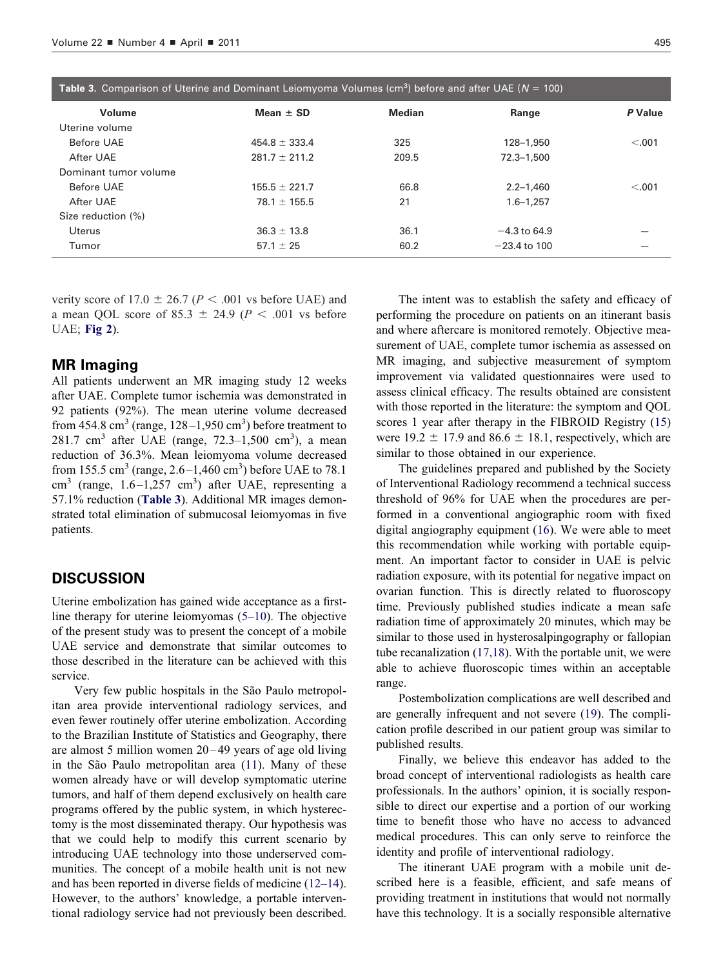<span id="page-5-0"></span>

| <b>Table 3.</b> Comparison of Uterine and Dominant Leiomyoma Volumes (cm <sup>3</sup> ) before and after UAE ( $N = 100$ ) |                   |        |                |         |  |  |  |  |
|----------------------------------------------------------------------------------------------------------------------------|-------------------|--------|----------------|---------|--|--|--|--|
| Volume                                                                                                                     | Mean $\pm$ SD     | Median | Range          | P Value |  |  |  |  |
| Uterine volume                                                                                                             |                   |        |                |         |  |  |  |  |
| Before UAE                                                                                                                 | $454.8 \pm 333.4$ | 325    | 128-1.950      | < 0.001 |  |  |  |  |
| After UAE                                                                                                                  | $281.7 \pm 211.2$ | 209.5  | 72.3-1.500     |         |  |  |  |  |
| Dominant tumor volume                                                                                                      |                   |        |                |         |  |  |  |  |
| Before UAE                                                                                                                 | $155.5 \pm 221.7$ | 66.8   | $2.2 - 1.460$  | < 0.001 |  |  |  |  |
| After UAE                                                                                                                  | $78.1 \pm 155.5$  | 21     | $1.6 - 1.257$  |         |  |  |  |  |
| Size reduction (%)                                                                                                         |                   |        |                |         |  |  |  |  |
| Uterus                                                                                                                     | $36.3 \pm 13.8$   | 36.1   | $-4.3$ to 64.9 |         |  |  |  |  |
| Tumor                                                                                                                      | $57.1 \pm 25$     | 60.2   | $-23.4$ to 100 |         |  |  |  |  |

verity score of 17.0  $\pm$  26.7 ( $P < .001$  vs before UAE) and a mean QOL score of 85.3  $\pm$  24.9 ( $P < .001$  vs before UAE; **[Fig 2](#page-4-1)**).

## **MR Imaging**

All patients underwent an MR imaging study 12 weeks after UAE. Complete tumor ischemia was demonstrated in 92 patients (92%). The mean uterine volume decreased from 454.8 cm<sup>3</sup> (range,  $128-1,950$  cm<sup>3</sup>) before treatment to 281.7 cm<sup>3</sup> after UAE (range, 72.3–1,500 cm<sup>3</sup>), a mean reduction of 36.3%. Mean leiomyoma volume decreased from 155.5 cm<sup>3</sup> (range, 2.6–1,460 cm<sup>3</sup>) before UAE to 78.1 cm<sup>3</sup> (range,  $1.6 - 1.257$  cm<sup>3</sup>) after UAE, representing a 57.1% reduction (**[Table 3](#page-5-0)**). Additional MR images demonstrated total elimination of submucosal leiomyomas in five patients.

# **DISCUSSION**

Uterine embolization has gained wide acceptance as a firstline therapy for uterine leiomyomas [\(5–10\)](#page-6-5). The objective of the present study was to present the concept of a mobile UAE service and demonstrate that similar outcomes to those described in the literature can be achieved with this service.

Very few public hospitals in the São Paulo metropolitan area provide interventional radiology services, and even fewer routinely offer uterine embolization. According to the Brazilian Institute of Statistics and Geography, there are almost 5 million women 20 – 49 years of age old living in the São Paulo metropolitan area [\(11\)](#page-6-6). Many of these women already have or will develop symptomatic uterine tumors, and half of them depend exclusively on health care programs offered by the public system, in which hysterectomy is the most disseminated therapy. Our hypothesis was that we could help to modify this current scenario by introducing UAE technology into those underserved communities. The concept of a mobile health unit is not new and has been reported in diverse fields of medicine [\(12–14\)](#page-6-7). However, to the authors' knowledge, a portable interventional radiology service had not previously been described.

The intent was to establish the safety and efficacy of performing the procedure on patients on an itinerant basis and where aftercare is monitored remotely. Objective measurement of UAE, complete tumor ischemia as assessed on MR imaging, and subjective measurement of symptom improvement via validated questionnaires were used to assess clinical efficacy. The results obtained are consistent with those reported in the literature: the symptom and QOL scores 1 year after therapy in the FIBROID Registry [\(15\)](#page-6-8) were 19.2  $\pm$  17.9 and 86.6  $\pm$  18.1, respectively, which are similar to those obtained in our experience.

The guidelines prepared and published by the Society of Interventional Radiology recommend a technical success threshold of 96% for UAE when the procedures are performed in a conventional angiographic room with fixed digital angiography equipment [\(16\)](#page-6-9). We were able to meet this recommendation while working with portable equipment. An important factor to consider in UAE is pelvic radiation exposure, with its potential for negative impact on ovarian function. This is directly related to fluoroscopy time. Previously published studies indicate a mean safe radiation time of approximately 20 minutes, which may be similar to those used in hysterosalpingography or fallopian tube recanalization [\(17,18\)](#page-6-10). With the portable unit, we were able to achieve fluoroscopic times within an acceptable range.

Postembolization complications are well described and are generally infrequent and not severe [\(19\)](#page-6-11). The complication profile described in our patient group was similar to published results.

Finally, we believe this endeavor has added to the broad concept of interventional radiologists as health care professionals. In the authors' opinion, it is socially responsible to direct our expertise and a portion of our working time to benefit those who have no access to advanced medical procedures. This can only serve to reinforce the identity and profile of interventional radiology.

The itinerant UAE program with a mobile unit described here is a feasible, efficient, and safe means of providing treatment in institutions that would not normally have this technology. It is a socially responsible alternative